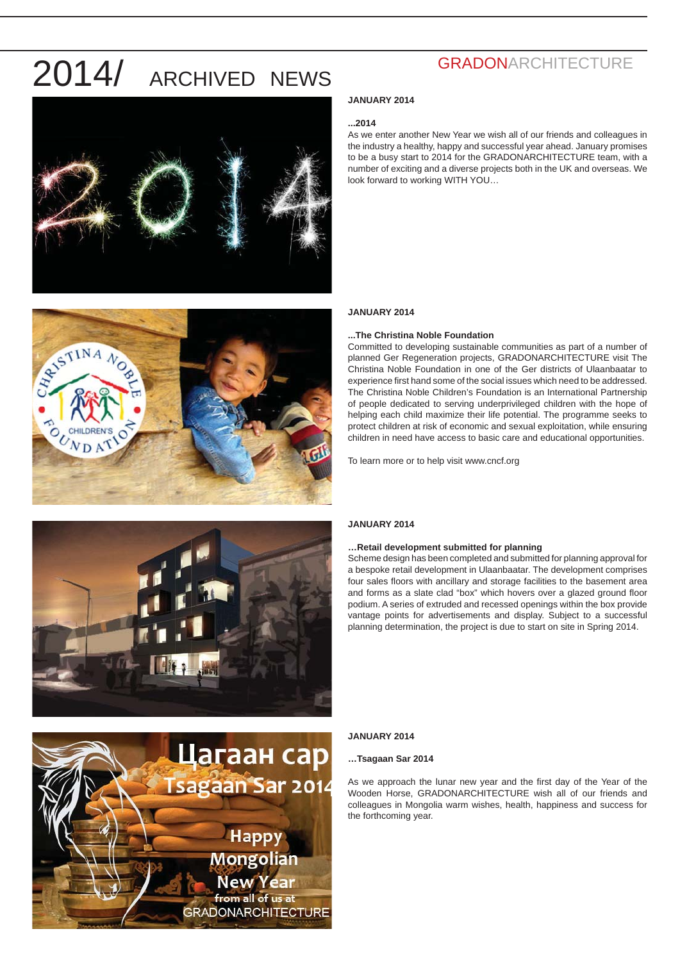





#### **JANUARY 2014**

#### **...2014**

As we enter another New Year we wish all of our friends and colleagues in the industry a healthy, happy and successful year ahead. January promises to be a busy start to 2014 for the GRADONARCHITECTURE team, with a number of exciting and a diverse projects both in the UK and overseas. We look forward to working WITH YOU…

#### **JANUARY 2014**

#### **...The Christina Noble Foundation**

Committed to developing sustainable communities as part of a number of planned Ger Regeneration projects, GRADONARCHITECTURE visit The Christina Noble Foundation in one of the Ger districts of Ulaanbaatar to experience first hand some of the social issues which need to be addressed. The Christina Noble Children's Foundation is an International Partnership of people dedicated to serving underprivileged children with the hope of helping each child maximize their life potential. The programme seeks to protect children at risk of economic and sexual exploitation, while ensuring children in need have access to basic care and educational opportunities.

To learn more or to help visit www.cncf.org



## Цагаан сар **Sagaan Sar 2014 Happy** Mongolian New Year from all of us at **GRADONARCHITECTURE**

#### **JANUARY 2014**

#### **…Retail development submitted for planning**

Scheme design has been completed and submitted for planning approval for a bespoke retail development in Ulaanbaatar. The development comprises four sales floors with ancillary and storage facilities to the basement area and forms as a slate clad "box" which hovers over a glazed ground floor podium. A series of extruded and recessed openings within the box provide vantage points for advertisements and display. Subject to a successful planning determination, the project is due to start on site in Spring 2014.

#### **JANUARY 2014**

#### **…Tsagaan Sar 2014**

As we approach the lunar new year and the first day of the Year of the Wooden Horse, GRADONARCHITECTURE wish all of our friends and colleagues in Mongolia warm wishes, health, happiness and success for the forthcoming year.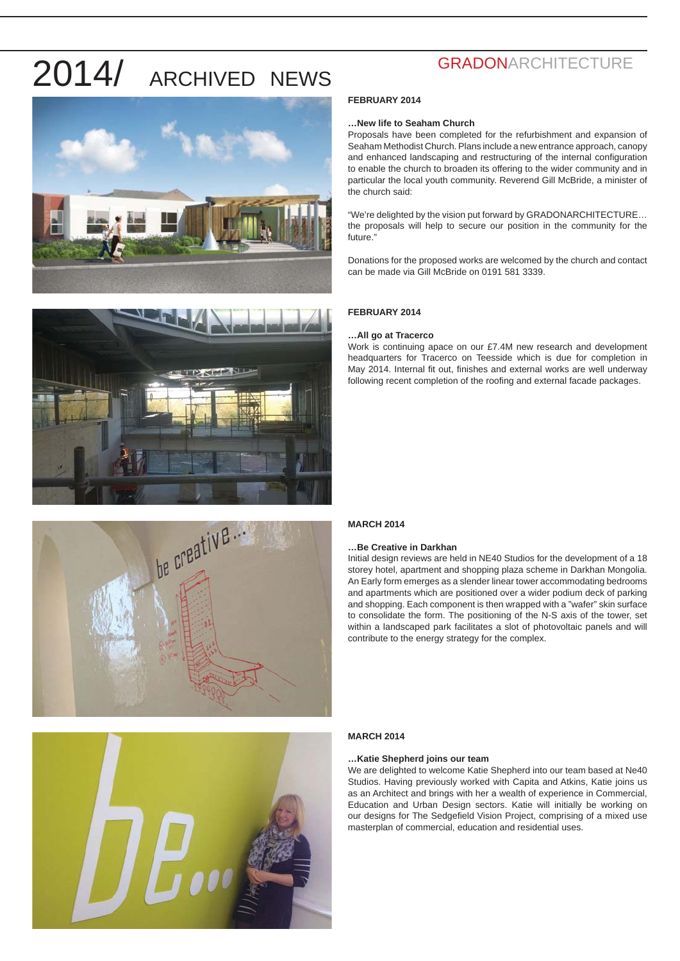







## **GRADONARCHITECTURE**

#### **FEBRUARY 2014**

#### **…New life to Seaham Church**

Proposals have been completed for the refurbishment and expansion of Seaham Methodist Church. Plans include a new entrance approach, canopy and enhanced landscaping and restructuring of the internal configuration to enable the church to broaden its offering to the wider community and in particular the local youth community. Reverend Gill McBride, a minister of the church said:

"We're delighted by the vision put forward by GRADONARCHITECTURE… the proposals will help to secure our position in the community for the future."

Donations for the proposed works are welcomed by the church and contact can be made via Gill McBride on 0191 581 3339.

#### **FEBRUARY 2014**

#### **…All go at Tracerco**

Work is continuing apace on our £7.4M new research and development headquarters for Tracerco on Teesside which is due for completion in May 2014. Internal fit out, finishes and external works are well underway following recent completion of the roofing and external facade packages.

#### **MARCH 2014**

#### **…Be Creative in Darkhan**

Initial design reviews are held in NE40 Studios for the development of a 18 storey hotel, apartment and shopping plaza scheme in Darkhan Mongolia. An Early form emerges as a slender linear tower accommodating bedrooms and apartments which are positioned over a wider podium deck of parking and shopping. Each component is then wrapped with a "wafer" skin surface to consolidate the form. The positioning of the N-S axis of the tower, set within a landscaped park facilitates a slot of photovoltaic panels and will contribute to the energy strategy for the complex.

#### **MARCH 2014**

#### **…Katie Shepherd joins our team**

We are delighted to welcome Katie Shepherd into our team based at Ne40 Studios. Having previously worked with Capita and Atkins, Katie joins us as an Architect and brings with her a wealth of experience in Commercial, Education and Urban Design sectors. Katie will initially be working on our designs for The Sedgefield Vision Project, comprising of a mixed use masterplan of commercial, education and residential uses.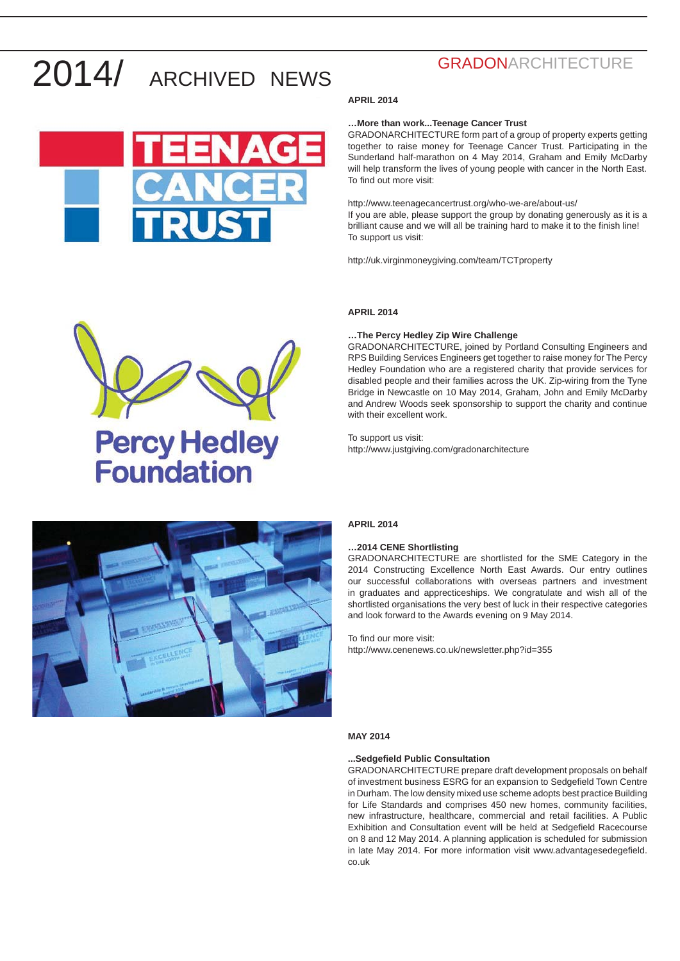

## **GRADONARCHITECTURE**

#### **APRIL 2014**

#### **…More than work...Teenage Cancer Trust**

GRADONARCHITECTURE form part of a group of property experts getting together to raise money for Teenage Cancer Trust. Participating in the Sunderland half-marathon on 4 May 2014, Graham and Emily McDarby will help transform the lives of young people with cancer in the North East. To find out more visit:

http://www.teenagecancertrust.org/who-we-are/about-us/ If you are able, please support the group by donating generously as it is a brilliant cause and we will all be training hard to make it to the finish line! To support us visit:

http://uk.virginmoneygiving.com/team/TCTproperty

#### **APRIL 2014**

#### **…The Percy Hedley Zip Wire Challenge**

GRADONARCHITECTURE, joined by Portland Consulting Engineers and RPS Building Services Engineers get together to raise money for The Percy Hedley Foundation who are a registered charity that provide services for disabled people and their families across the UK. Zip-wiring from the Tyne Bridge in Newcastle on 10 May 2014, Graham, John and Emily McDarby and Andrew Woods seek sponsorship to support the charity and continue with their excellent work.

To support us visit: http://www.justgiving.com/gradonarchitecture



**Percy Hedley** 

**Foundation** 

#### **APRIL 2014**

#### **…2014 CENE Shortlisting**

GRADONARCHITECTURE are shortlisted for the SME Category in the 2014 Constructing Excellence North East Awards. Our entry outlines our successful collaborations with overseas partners and investment in graduates and apprecticeships. We congratulate and wish all of the shortlisted organisations the very best of luck in their respective categories and look forward to the Awards evening on 9 May 2014.

To find our more visit:

http://www.cenenews.co.uk/newsletter.php?id=355

#### **MAY 2014**

#### **...Sedgefi eld Public Consultation**

GRADONARCHITECTURE prepare draft development proposals on behalf of investment business ESRG for an expansion to Sedgefield Town Centre in Durham. The low density mixed use scheme adopts best practice Building for Life Standards and comprises 450 new homes, community facilities, new infrastructure, healthcare, commercial and retail facilities. A Public Exhibition and Consultation event will be held at Sedgefield Racecourse on 8 and 12 May 2014. A planning application is scheduled for submission in late May 2014. For more information visit www.advantagesedegefield. co.uk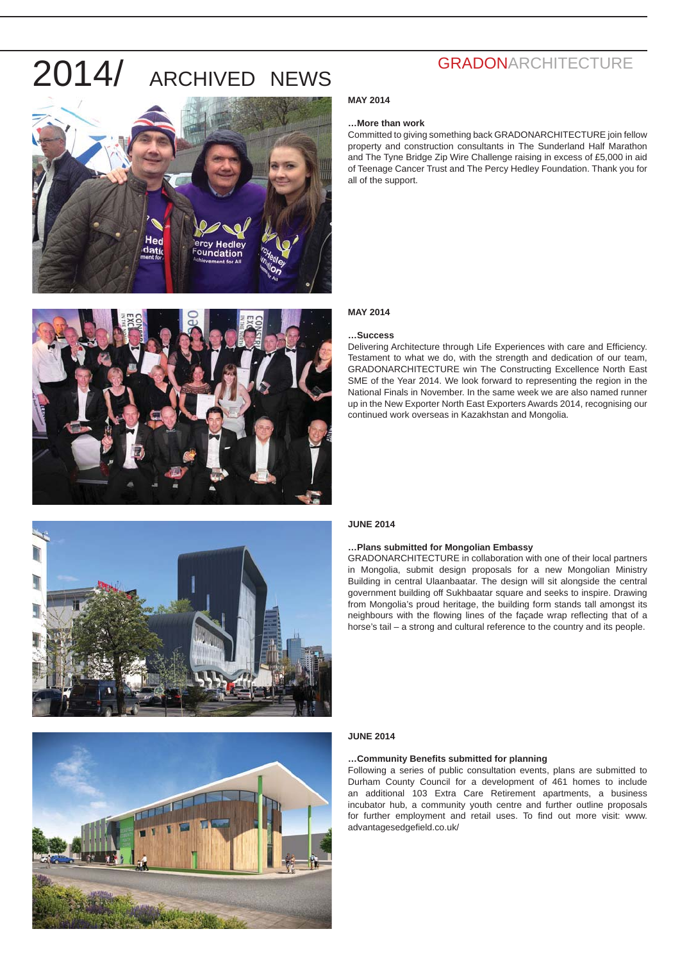







## **GRADONARCHITECTURE**

#### **MAY 2014**

#### **…More than work**

Committed to giving something back GRADONARCHITECTURE join fellow property and construction consultants in The Sunderland Half Marathon and The Tyne Bridge Zip Wire Challenge raising in excess of £5,000 in aid of Teenage Cancer Trust and The Percy Hedley Foundation. Thank you for all of the support.

#### **MAY 2014**

#### **…Success**

Delivering Architecture through Life Experiences with care and Efficiency. Testament to what we do, with the strength and dedication of our team, GRADONARCHITECTURE win The Constructing Excellence North East SME of the Year 2014. We look forward to representing the region in the National Finals in November. In the same week we are also named runner up in the New Exporter North East Exporters Awards 2014, recognising our continued work overseas in Kazakhstan and Mongolia.

#### **JUNE 2014**

#### **…Plans submitted for Mongolian Embassy**

GRADONARCHITECTURE in collaboration with one of their local partners in Mongolia, submit design proposals for a new Mongolian Ministry Building in central Ulaanbaatar. The design will sit alongside the central government building off Sukhbaatar square and seeks to inspire. Drawing from Mongolia's proud heritage, the building form stands tall amongst its neighbours with the flowing lines of the facade wrap reflecting that of a horse's tail – a strong and cultural reference to the country and its people.

#### **JUNE 2014**

#### ... Community Benefits submitted for planning

Following a series of public consultation events, plans are submitted to Durham County Council for a development of 461 homes to include an additional 103 Extra Care Retirement apartments, a business incubator hub, a community youth centre and further outline proposals for further employment and retail uses. To find out more visit: www. advantagesedgefield.co.uk/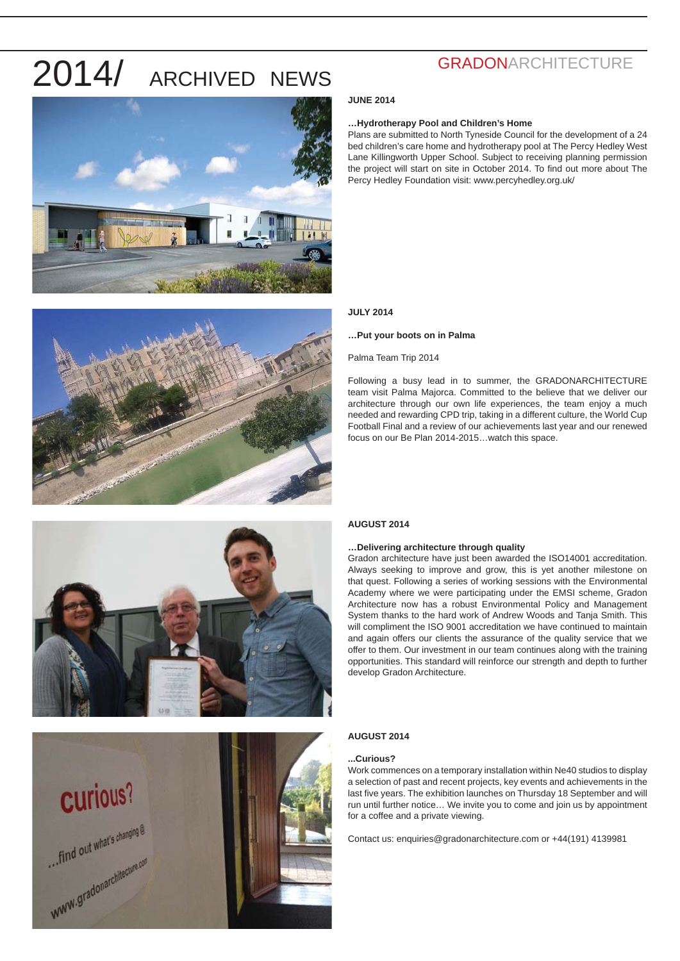



## **GRADONARCHITECTURE**

#### **JUNE 2014**

#### **…Hydrotherapy Pool and Children's Home**

Plans are submitted to North Tyneside Council for the development of a 24 bed children's care home and hydrotherapy pool at The Percy Hedley West Lane Killingworth Upper School. Subject to receiving planning permission the project will start on site in October 2014. To find out more about The Percy Hedley Foundation visit: www.percyhedley.org.uk/

#### **JULY 2014**

#### **…Put your boots on in Palma**

Palma Team Trip 2014

Following a busy lead in to summer, the GRADONARCHITECTURE team visit Palma Majorca. Committed to the believe that we deliver our architecture through our own life experiences, the team enjoy a much needed and rewarding CPD trip, taking in a different culture, the World Cup Football Final and a review of our achievements last year and our renewed focus on our Be Plan 2014-2015…watch this space.



# **Curious?** ... find out what's changing @ ... find out when ...

#### **AUGUST 2014**

#### **…Delivering architecture through quality**

Gradon architecture have just been awarded the ISO14001 accreditation. Always seeking to improve and grow, this is yet another milestone on that quest. Following a series of working sessions with the Environmental Academy where we were participating under the EMSI scheme, Gradon Architecture now has a robust Environmental Policy and Management System thanks to the hard work of Andrew Woods and Tanja Smith. This will compliment the ISO 9001 accreditation we have continued to maintain and again offers our clients the assurance of the quality service that we offer to them. Our investment in our team continues along with the training opportunities. This standard will reinforce our strength and depth to further develop Gradon Architecture.

#### **AUGUST 2014**

#### **...Curious?**

Work commences on a temporary installation within Ne40 studios to display a selection of past and recent projects, key events and achievements in the last five years. The exhibition launches on Thursday 18 September and will run until further notice… We invite you to come and join us by appointment for a coffee and a private viewing.

Contact us: enquiries@gradonarchitecture.com or +44(191) 4139981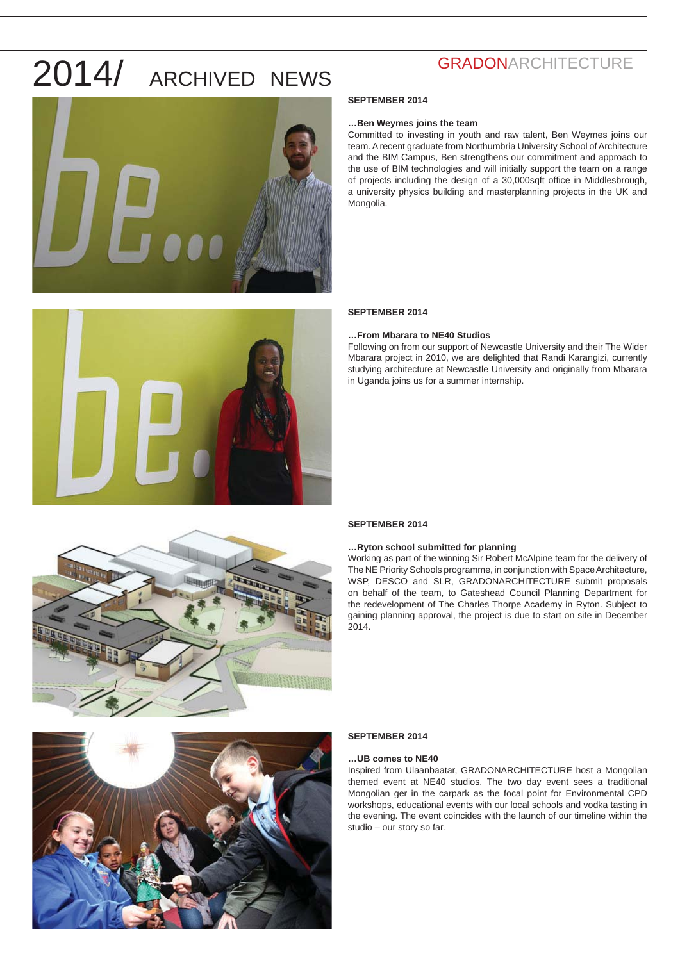



#### **SEPTEMBER 2014**

#### **…Ben Weymes joins the team**

Committed to investing in youth and raw talent, Ben Weymes joins our team. A recent graduate from Northumbria University School of Architecture and the BIM Campus, Ben strengthens our commitment and approach to the use of BIM technologies and will initially support the team on a range of projects including the design of a 30,000sqft office in Middlesbrough, a university physics building and masterplanning projects in the UK and Mongolia.

#### **SEPTEMBER 2014**

#### **…From Mbarara to NE40 Studios**

Following on from our support of Newcastle University and their The Wider Mbarara project in 2010, we are delighted that Randi Karangizi, currently studying architecture at Newcastle University and originally from Mbarara in Uganda joins us for a summer internship.



#### **SEPTEMBER 2014**

#### **…Ryton school submitted for planning**

Working as part of the winning Sir Robert McAlpine team for the delivery of The NE Priority Schools programme, in conjunction with Space Architecture, WSP, DESCO and SLR, GRADONARCHITECTURE submit proposals on behalf of the team, to Gateshead Council Planning Department for the redevelopment of The Charles Thorpe Academy in Ryton. Subject to gaining planning approval, the project is due to start on site in December 2014.



#### **SEPTEMBER 2014**

#### **…UB comes to NE40**

Inspired from Ulaanbaatar, GRADONARCHITECTURE host a Mongolian themed event at NE40 studios. The two day event sees a traditional Mongolian ger in the carpark as the focal point for Environmental CPD workshops, educational events with our local schools and vodka tasting in the evening. The event coincides with the launch of our timeline within the studio – our story so far.

### **GRADONARCHITECTURE**